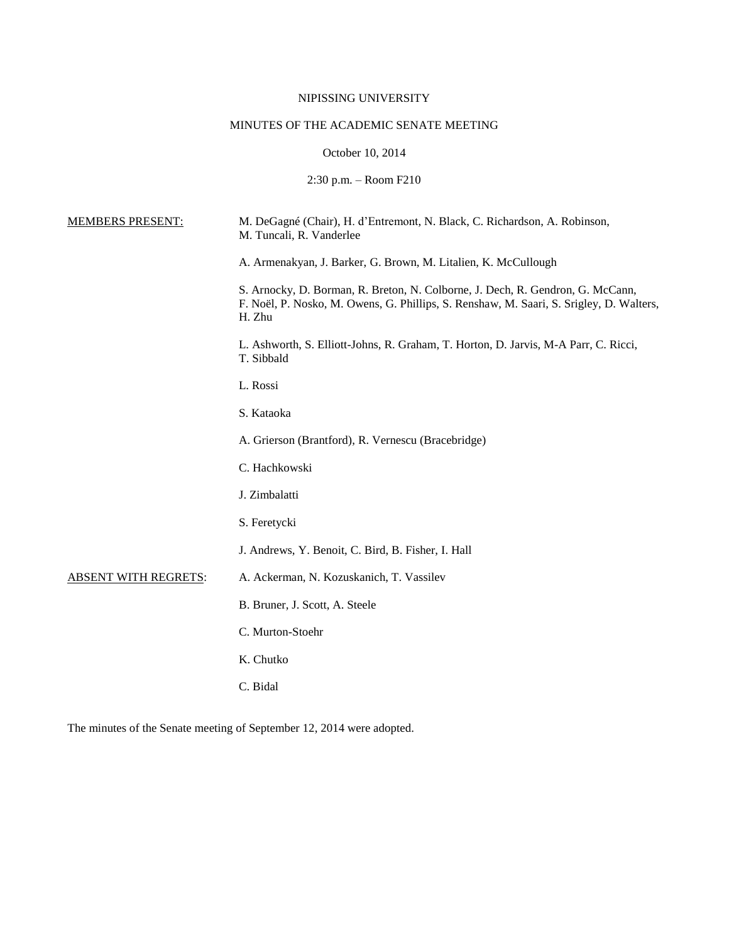# NIPISSING UNIVERSITY

# MINUTES OF THE ACADEMIC SENATE MEETING

# October 10, 2014

2:30 p.m. – Room F210

| <b>MEMBERS PRESENT:</b>     | M. DeGagné (Chair), H. d'Entremont, N. Black, C. Richardson, A. Robinson,<br>M. Tuncali, R. Vanderlee                                                                               |
|-----------------------------|-------------------------------------------------------------------------------------------------------------------------------------------------------------------------------------|
|                             | A. Armenakyan, J. Barker, G. Brown, M. Litalien, K. McCullough                                                                                                                      |
|                             | S. Arnocky, D. Borman, R. Breton, N. Colborne, J. Dech, R. Gendron, G. McCann,<br>F. Noël, P. Nosko, M. Owens, G. Phillips, S. Renshaw, M. Saari, S. Srigley, D. Walters,<br>H. Zhu |
|                             | L. Ashworth, S. Elliott-Johns, R. Graham, T. Horton, D. Jarvis, M-A Parr, C. Ricci,<br>T. Sibbald                                                                                   |
|                             | L. Rossi                                                                                                                                                                            |
|                             | S. Kataoka                                                                                                                                                                          |
|                             | A. Grierson (Brantford), R. Vernescu (Bracebridge)                                                                                                                                  |
|                             | C. Hachkowski                                                                                                                                                                       |
|                             | J. Zimbalatti                                                                                                                                                                       |
|                             | S. Feretycki                                                                                                                                                                        |
|                             | J. Andrews, Y. Benoit, C. Bird, B. Fisher, I. Hall                                                                                                                                  |
| <b>ABSENT WITH REGRETS:</b> | A. Ackerman, N. Kozuskanich, T. Vassilev                                                                                                                                            |
|                             | B. Bruner, J. Scott, A. Steele                                                                                                                                                      |
|                             | C. Murton-Stoehr                                                                                                                                                                    |
|                             | K. Chutko                                                                                                                                                                           |
|                             | C. Bidal                                                                                                                                                                            |
|                             |                                                                                                                                                                                     |

The minutes of the Senate meeting of September 12, 2014 were adopted.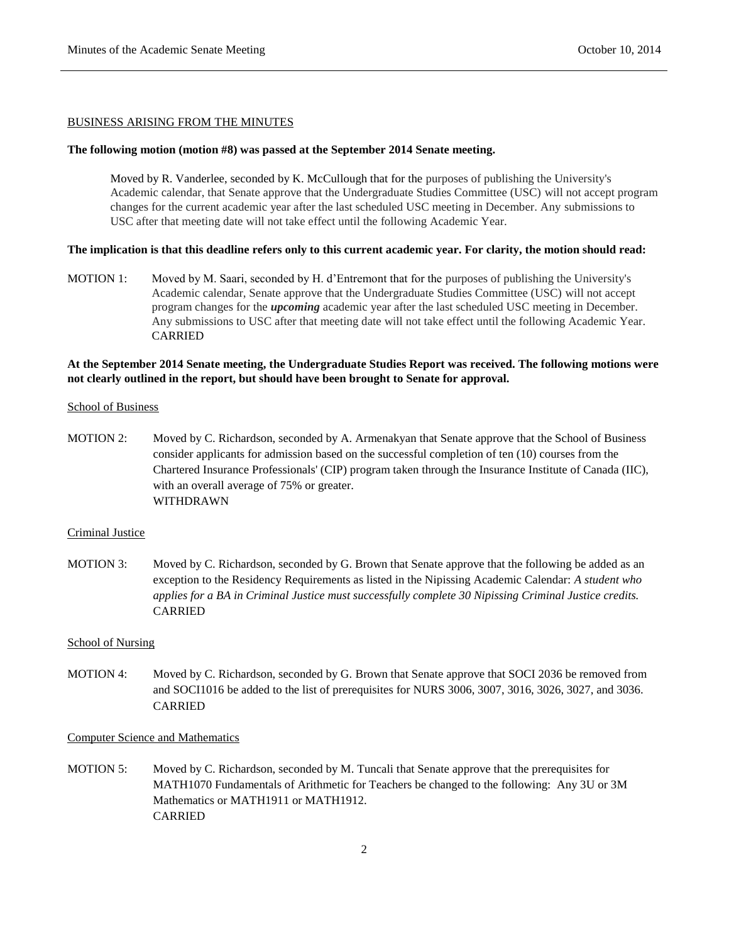#### BUSINESS ARISING FROM THE MINUTES

### **The following motion (motion #8) was passed at the September 2014 Senate meeting.**

Moved by R. Vanderlee, seconded by K. McCullough that for the purposes of publishing the University's Academic calendar, that Senate approve that the Undergraduate Studies Committee (USC) will not accept program changes for the current academic year after the last scheduled USC meeting in December. Any submissions to USC after that meeting date will not take effect until the following Academic Year.

#### **The implication is that this deadline refers only to this current academic year. For clarity, the motion should read:**

MOTION 1: Moved by M. Saari, seconded by H. d'Entremont that for the purposes of publishing the University's Academic calendar, Senate approve that the Undergraduate Studies Committee (USC) will not accept program changes for the *upcoming* academic year after the last scheduled USC meeting in December. Any submissions to USC after that meeting date will not take effect until the following Academic Year. CARRIED

## **At the September 2014 Senate meeting, the Undergraduate Studies Report was received. The following motions were not clearly outlined in the report, but should have been brought to Senate for approval.**

#### **School of Business**

MOTION 2: Moved by C. Richardson, seconded by A. Armenakyan that Senate approve that the School of Business consider applicants for admission based on the successful completion of ten (10) courses from the Chartered Insurance Professionals' (CIP) program taken through the Insurance Institute of Canada (IIC), with an overall average of 75% or greater. WITHDRAWN

## Criminal Justice

MOTION 3: Moved by C. Richardson, seconded by G. Brown that Senate approve that the following be added as an exception to the Residency Requirements as listed in the Nipissing Academic Calendar: *A student who applies for a BA in Criminal Justice must successfully complete 30 Nipissing Criminal Justice credits.* CARRIED

## School of Nursing

MOTION 4: Moved by C. Richardson, seconded by G. Brown that Senate approve that SOCI 2036 be removed from and SOCI1016 be added to the list of prerequisites for NURS 3006, 3007, 3016, 3026, 3027, and 3036. CARRIED

#### Computer Science and Mathematics

MOTION 5: Moved by C. Richardson, seconded by M. Tuncali that Senate approve that the prerequisites for MATH1070 Fundamentals of Arithmetic for Teachers be changed to the following: Any 3U or 3M Mathematics or MATH1911 or MATH1912. CARRIED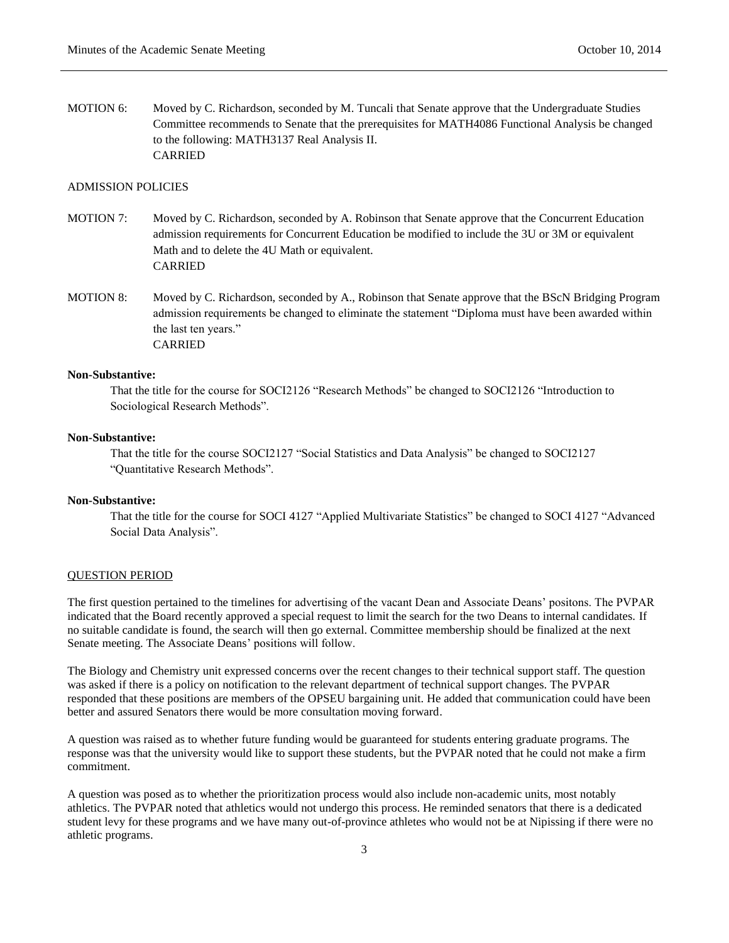MOTION 6: Moved by C. Richardson, seconded by M. Tuncali that Senate approve that the Undergraduate Studies Committee recommends to Senate that the prerequisites for MATH4086 Functional Analysis be changed to the following: MATH3137 Real Analysis II. CARRIED

## ADMISSION POLICIES

- MOTION 7: Moved by C. Richardson, seconded by A. Robinson that Senate approve that the Concurrent Education admission requirements for Concurrent Education be modified to include the 3U or 3M or equivalent Math and to delete the 4U Math or equivalent. CARRIED
- MOTION 8: Moved by C. Richardson, seconded by A., Robinson that Senate approve that the BScN Bridging Program admission requirements be changed to eliminate the statement "Diploma must have been awarded within the last ten years." CARRIED

## **Non-Substantive:**

That the title for the course for SOCI2126 "Research Methods" be changed to SOCI2126 "Introduction to Sociological Research Methods".

### **Non-Substantive:**

That the title for the course SOCI2127 "Social Statistics and Data Analysis" be changed to SOCI2127 "Quantitative Research Methods".

#### **Non-Substantive:**

That the title for the course for SOCI 4127 "Applied Multivariate Statistics" be changed to SOCI 4127 "Advanced Social Data Analysis".

### QUESTION PERIOD

The first question pertained to the timelines for advertising of the vacant Dean and Associate Deans' positons. The PVPAR indicated that the Board recently approved a special request to limit the search for the two Deans to internal candidates. If no suitable candidate is found, the search will then go external. Committee membership should be finalized at the next Senate meeting. The Associate Deans' positions will follow.

The Biology and Chemistry unit expressed concerns over the recent changes to their technical support staff. The question was asked if there is a policy on notification to the relevant department of technical support changes. The PVPAR responded that these positions are members of the OPSEU bargaining unit. He added that communication could have been better and assured Senators there would be more consultation moving forward.

A question was raised as to whether future funding would be guaranteed for students entering graduate programs. The response was that the university would like to support these students, but the PVPAR noted that he could not make a firm commitment.

A question was posed as to whether the prioritization process would also include non-academic units, most notably athletics. The PVPAR noted that athletics would not undergo this process. He reminded senators that there is a dedicated student levy for these programs and we have many out-of-province athletes who would not be at Nipissing if there were no athletic programs.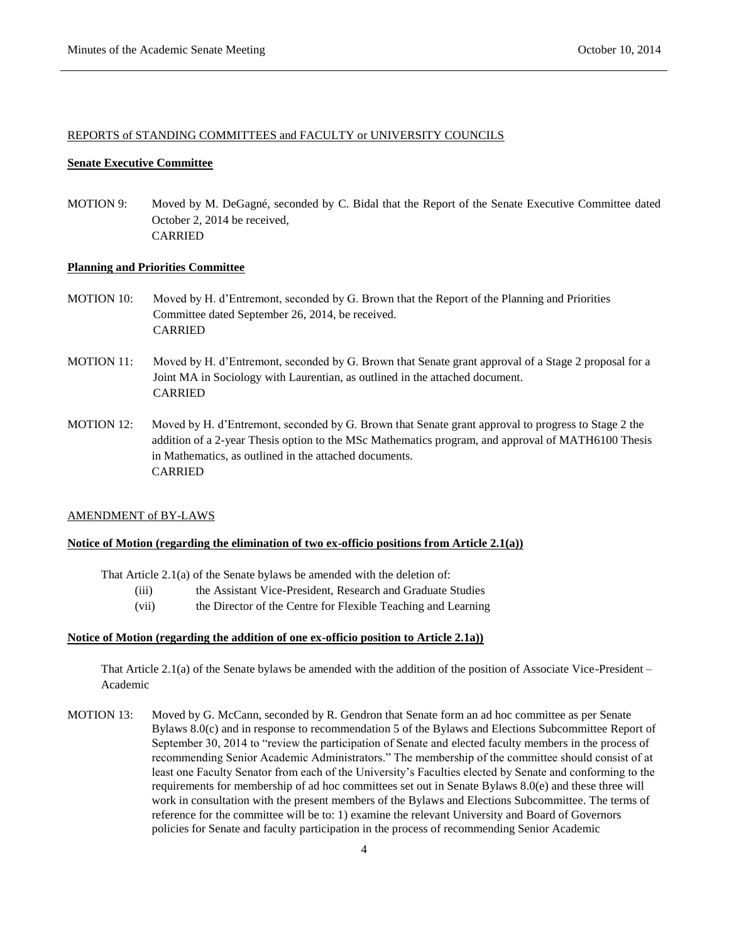## REPORTS of STANDING COMMITTEES and FACULTY or UNIVERSITY COUNCILS

#### **Senate Executive Committee**

MOTION 9: Moved by M. DeGagné, seconded by C. Bidal that the Report of the Senate Executive Committee dated October 2, 2014 be received, CARRIED

## **Planning and Priorities Committee**

- MOTION 10: Moved by H. d'Entremont, seconded by G. Brown that the Report of the Planning and Priorities Committee dated September 26, 2014, be received. CARRIED
- MOTION 11: Moved by H. d'Entremont, seconded by G. Brown that Senate grant approval of a Stage 2 proposal for a Joint MA in Sociology with Laurentian, as outlined in the attached document. CARRIED
- MOTION 12: Moved by H. d'Entremont, seconded by G. Brown that Senate grant approval to progress to Stage 2 the addition of a 2-year Thesis option to the MSc Mathematics program, and approval of MATH6100 Thesis in Mathematics, as outlined in the attached documents. CARRIED

#### AMENDMENT of BY-LAWS

## **Notice of Motion (regarding the elimination of two ex-officio positions from Article 2.1(a))**

That Article 2.1(a) of the Senate bylaws be amended with the deletion of:

- (iii) the Assistant Vice-President, Research and Graduate Studies
- (vii) the Director of the Centre for Flexible Teaching and Learning

#### **Notice of Motion (regarding the addition of one ex-officio position to Article 2.1a))**

That Article 2.1(a) of the Senate bylaws be amended with the addition of the position of Associate Vice-President – Academic

MOTION 13: Moved by G. McCann, seconded by R. Gendron that Senate form an ad hoc committee as per Senate Bylaws 8.0(c) and in response to recommendation 5 of the Bylaws and Elections Subcommittee Report of September 30, 2014 to "review the participation of Senate and elected faculty members in the process of recommending Senior Academic Administrators." The membership of the committee should consist of at least one Faculty Senator from each of the University's Faculties elected by Senate and conforming to the requirements for membership of ad hoc committees set out in Senate Bylaws 8.0(e) and these three will work in consultation with the present members of the Bylaws and Elections Subcommittee. The terms of reference for the committee will be to: 1) examine the relevant University and Board of Governors policies for Senate and faculty participation in the process of recommending Senior Academic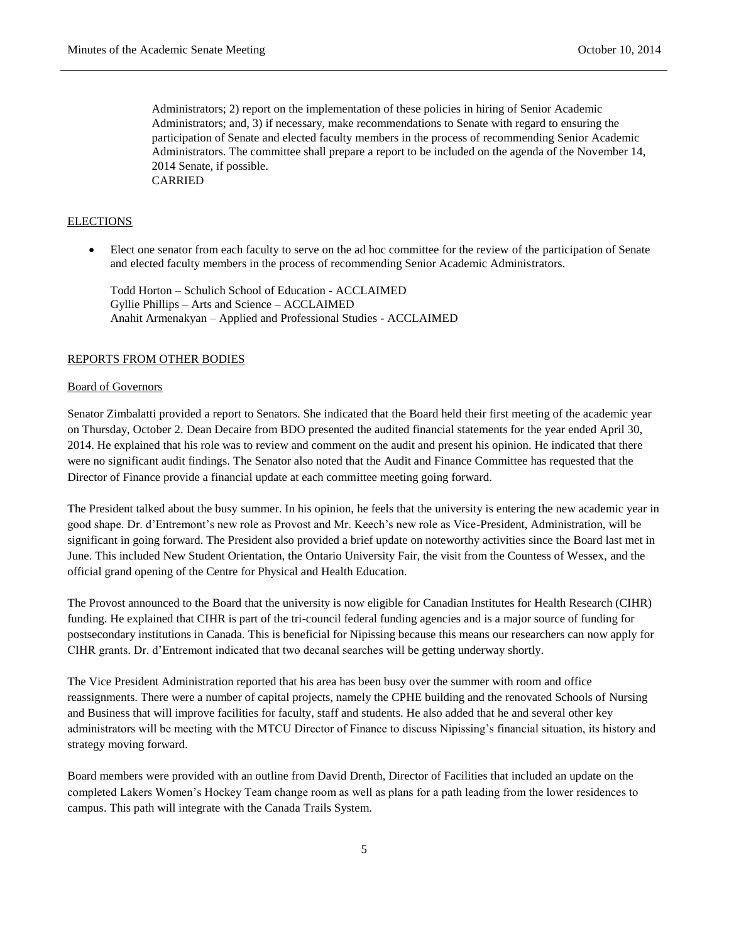Administrators; 2) report on the implementation of these policies in hiring of Senior Academic Administrators; and, 3) if necessary, make recommendations to Senate with regard to ensuring the participation of Senate and elected faculty members in the process of recommending Senior Academic Administrators. The committee shall prepare a report to be included on the agenda of the November 14, 2014 Senate, if possible. CARRIED

#### ELECTIONS

 Elect one senator from each faculty to serve on the ad hoc committee for the review of the participation of Senate and elected faculty members in the process of recommending Senior Academic Administrators.

Todd Horton – Schulich School of Education - ACCLAIMED Gyllie Phillips – Arts and Science – ACCLAIMED Anahit Armenakyan – Applied and Professional Studies - ACCLAIMED

### REPORTS FROM OTHER BODIES

#### Board of Governors

Senator Zimbalatti provided a report to Senators. She indicated that the Board held their first meeting of the academic year on Thursday, October 2. Dean Decaire from BDO presented the audited financial statements for the year ended April 30, 2014. He explained that his role was to review and comment on the audit and present his opinion. He indicated that there were no significant audit findings. The Senator also noted that the Audit and Finance Committee has requested that the Director of Finance provide a financial update at each committee meeting going forward.

The President talked about the busy summer. In his opinion, he feels that the university is entering the new academic year in good shape. Dr. d'Entremont's new role as Provost and Mr. Keech's new role as Vice-President, Administration, will be significant in going forward. The President also provided a brief update on noteworthy activities since the Board last met in June. This included New Student Orientation, the Ontario University Fair, the visit from the Countess of Wessex, and the official grand opening of the Centre for Physical and Health Education.

The Provost announced to the Board that the university is now eligible for Canadian Institutes for Health Research (CIHR) funding. He explained that CIHR is part of the tri-council federal funding agencies and is a major source of funding for postsecondary institutions in Canada. This is beneficial for Nipissing because this means our researchers can now apply for CIHR grants. Dr. d'Entremont indicated that two decanal searches will be getting underway shortly.

The Vice President Administration reported that his area has been busy over the summer with room and office reassignments. There were a number of capital projects, namely the CPHE building and the renovated Schools of Nursing and Business that will improve facilities for faculty, staff and students. He also added that he and several other key administrators will be meeting with the MTCU Director of Finance to discuss Nipissing's financial situation, its history and strategy moving forward.

Board members were provided with an outline from David Drenth, Director of Facilities that included an update on the completed Lakers Women's Hockey Team change room as well as plans for a path leading from the lower residences to campus. This path will integrate with the Canada Trails System.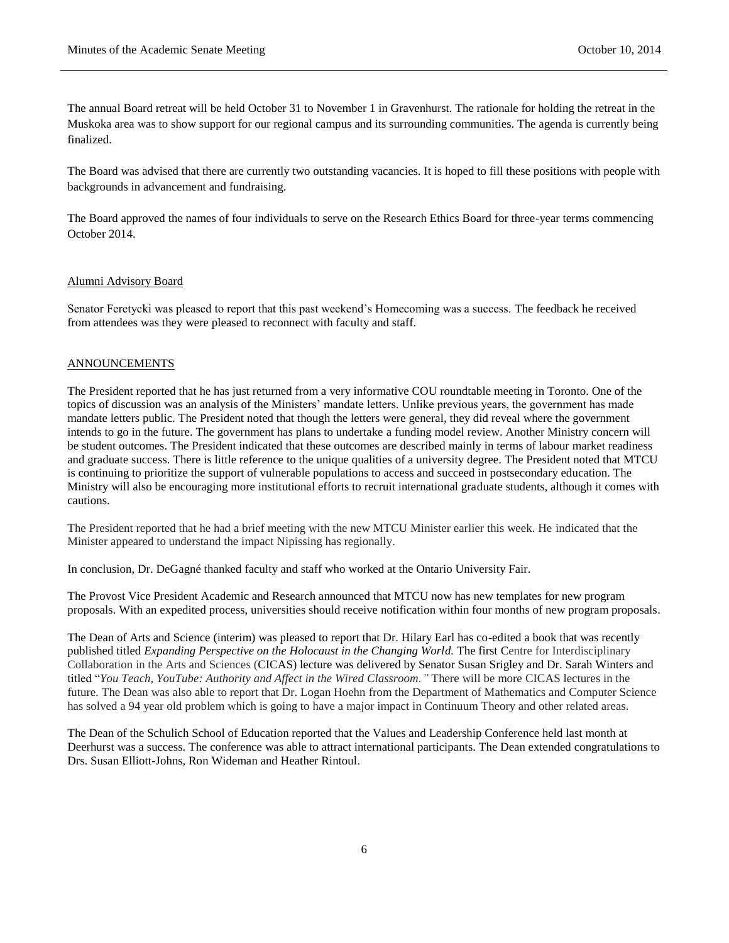The annual Board retreat will be held October 31 to November 1 in Gravenhurst. The rationale for holding the retreat in the Muskoka area was to show support for our regional campus and its surrounding communities. The agenda is currently being finalized.

The Board was advised that there are currently two outstanding vacancies. It is hoped to fill these positions with people with backgrounds in advancement and fundraising.

The Board approved the names of four individuals to serve on the Research Ethics Board for three-year terms commencing October 2014.

#### Alumni Advisory Board

Senator Feretycki was pleased to report that this past weekend's Homecoming was a success. The feedback he received from attendees was they were pleased to reconnect with faculty and staff.

#### ANNOUNCEMENTS

The President reported that he has just returned from a very informative COU roundtable meeting in Toronto. One of the topics of discussion was an analysis of the Ministers' mandate letters. Unlike previous years, the government has made mandate letters public. The President noted that though the letters were general, they did reveal where the government intends to go in the future. The government has plans to undertake a funding model review. Another Ministry concern will be student outcomes. The President indicated that these outcomes are described mainly in terms of labour market readiness and graduate success. There is little reference to the unique qualities of a university degree. The President noted that MTCU is continuing to prioritize the support of vulnerable populations to access and succeed in postsecondary education. The Ministry will also be encouraging more institutional efforts to recruit international graduate students, although it comes with cautions.

The President reported that he had a brief meeting with the new MTCU Minister earlier this week. He indicated that the Minister appeared to understand the impact Nipissing has regionally.

In conclusion, Dr. DeGagné thanked faculty and staff who worked at the Ontario University Fair.

The Provost Vice President Academic and Research announced that MTCU now has new templates for new program proposals. With an expedited process, universities should receive notification within four months of new program proposals.

The Dean of Arts and Science (interim) was pleased to report that Dr. Hilary Earl has co-edited a book that was recently published titled *Expanding Perspective on the Holocaust in the Changing World.* The first Centre for Interdisciplinary Collaboration in the Arts and Sciences (CICAS) lecture was delivered by Senator Susan Srigley and Dr. Sarah Winters and titled "*You Teach, YouTube: Authority and Affect in the Wired Classroom."* There will be more CICAS lectures in the future. The Dean was also able to report that Dr. Logan Hoehn from the Department of Mathematics and Computer Science has solved a 94 year old problem which is going to have a major impact in Continuum Theory and other related areas.

The Dean of the Schulich School of Education reported that the Values and Leadership Conference held last month at Deerhurst was a success. The conference was able to attract international participants. The Dean extended congratulations to Drs. Susan Elliott-Johns, Ron Wideman and Heather Rintoul.